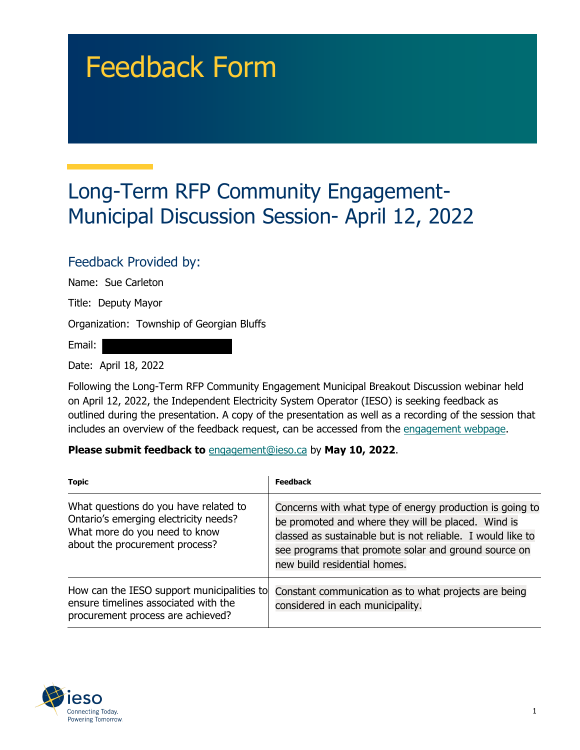# Feedback Form

## Long-Term RFP Community Engagement-Municipal Discussion Session- April 12, 2022

#### Feedback Provided by:

Name: Sue Carleton

Title: Deputy Mayor

Organization: Township of Georgian Bluffs

Email:

Date: April 18, 2022

Following the Long-Term RFP Community Engagement Municipal Breakout Discussion webinar held on April 12, 2022, the Independent Electricity System Operator (IESO) is seeking feedback as outlined during the presentation. A copy of the presentation as well as a recording of the session that includes an overview of the feedback request, can be accessed from the [engagement webpage.](https://www.ieso.ca/en/Sector-Participants/Engagement-Initiatives/Engagements/Long-Term-RFP-Community-Engagement)

#### **Please submit feedback to** engagement@ieso.ca by **May 10, 2022**.

| <b>Topic</b>                                                                                                                                      | <b>Feedback</b>                                                                                                                                                                                                                                                       |
|---------------------------------------------------------------------------------------------------------------------------------------------------|-----------------------------------------------------------------------------------------------------------------------------------------------------------------------------------------------------------------------------------------------------------------------|
| What questions do you have related to<br>Ontario's emerging electricity needs?<br>What more do you need to know<br>about the procurement process? | Concerns with what type of energy production is going to<br>be promoted and where they will be placed. Wind is<br>classed as sustainable but is not reliable. I would like to<br>see programs that promote solar and ground source on<br>new build residential homes. |
| How can the IESO support municipalities to<br>ensure timelines associated with the<br>procurement process are achieved?                           | Constant communication as to what projects are being<br>considered in each municipality.                                                                                                                                                                              |